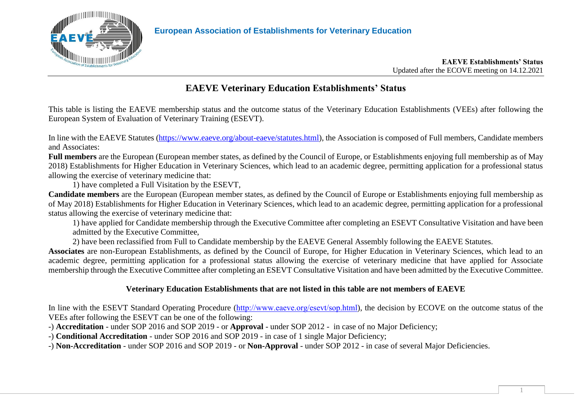

# **EAEVE Veterinary Education Establishments' Status**

This table is listing the EAEVE membership status and the outcome status of the Veterinary Education Establishments (VEEs) after following the European System of Evaluation of Veterinary Training (ESEVT).

In line with the EAEVE Statutes [\(https://www.eaeve.org/about-eaeve/statutes.html\)](https://www.eaeve.org/about-eaeve/statutes.html), the Association is composed of Full members, Candidate members and Associates:

**Full members** are the European (European member states, as defined by the Council of Europe, or Establishments enjoying full membership as of May 2018) Establishments for Higher Education in Veterinary Sciences, which lead to an academic degree, permitting application for a professional status allowing the exercise of veterinary medicine that:

1) have completed a Full Visitation by the ESEVT,

**Candidate members** are the European (European member states, as defined by the Council of Europe or Establishments enjoying full membership as of May 2018) Establishments for Higher Education in Veterinary Sciences, which lead to an academic degree, permitting application for a professional status allowing the exercise of veterinary medicine that:

1) have applied for Candidate membership through the Executive Committee after completing an ESEVT Consultative Visitation and have been admitted by the Executive Committee,

2) have been reclassified from Full to Candidate membership by the EAEVE General Assembly following the EAEVE Statutes.

**Associates** are non-European Establishments, as defined by the Council of Europe, for Higher Education in Veterinary Sciences, which lead to an academic degree, permitting application for a professional status allowing the exercise of veterinary medicine that have applied for Associate membership through the Executive Committee after completing an ESEVT Consultative Visitation and have been admitted by the Executive Committee.

## **Veterinary Education Establishments that are not listed in this table are not members of EAEVE**

In line with the ESEVT Standard Operating Procedure (<http://www.eaeve.org/esevt/sop.html>), the decision by ECOVE on the outcome status of the VEEs after following the ESEVT can be one of the following:

-) **Accreditation** - under SOP 2016 and SOP 2019 - or **Approval** - under SOP 2012 - in case of no Major Deficiency;

-) **Conditional Accreditation** - under SOP 2016 and SOP 2019 - in case of 1 single Major Deficiency;

-) **Non-Accreditation** - under SOP 2016 and SOP 2019 - or **Non-Approval** - under SOP 2012 - in case of several Major Deficiencies.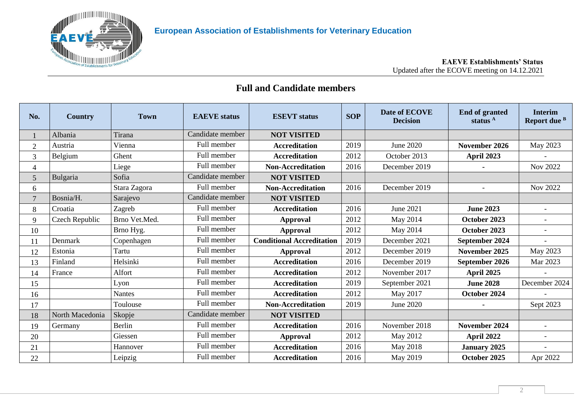

# **Full and Candidate members**

| No.             | <b>Country</b>  | <b>Town</b>   | <b>EAEVE</b> status | <b>ESEVT</b> status              | <b>SOP</b> | Date of ECOVE<br><b>Decision</b> | <b>End of granted</b><br>status $A$ | <b>Interim</b><br>Report due <sup>B</sup> |
|-----------------|-----------------|---------------|---------------------|----------------------------------|------------|----------------------------------|-------------------------------------|-------------------------------------------|
|                 | Albania         | Tirana        | Candidate member    | <b>NOT VISITED</b>               |            |                                  |                                     |                                           |
| $\overline{2}$  | Austria         | Vienna        | Full member         | <b>Accreditation</b>             | 2019       | <b>June 2020</b>                 | November 2026                       | May 2023                                  |
| 3               | Belgium         | Ghent         | Full member         | <b>Accreditation</b>             | 2012       | October 2013                     | <b>April 2023</b>                   |                                           |
| 4               |                 | Liege         | Full member         | <b>Non-Accreditation</b>         | 2016       | December 2019                    |                                     | <b>Nov 2022</b>                           |
| $5\overline{)}$ | Bulgaria        | Sofia         | Candidate member    | <b>NOT VISITED</b>               |            |                                  |                                     |                                           |
| 6               |                 | Stara Zagora  | Full member         | <b>Non-Accreditation</b>         | 2016       | December 2019                    | $\overline{a}$                      | <b>Nov 2022</b>                           |
| $\overline{7}$  | Bosnia/H.       | Sarajevo      | Candidate member    | <b>NOT VISITED</b>               |            |                                  |                                     |                                           |
| 8               | Croatia         | Zagreb        | Full member         | <b>Accreditation</b>             | 2016       | June 2021                        | <b>June 2023</b>                    | $\blacksquare$                            |
| 9               | Czech Republic  | Brno Vet.Med. | Full member         | <b>Approval</b>                  | 2012       | May 2014                         | October 2023                        |                                           |
| 10              |                 | Brno Hyg.     | Full member         | <b>Approval</b>                  | 2012       | May 2014                         | October 2023                        | $\overline{a}$                            |
| 11              | Denmark         | Copenhagen    | Full member         | <b>Conditional Accreditation</b> | 2019       | December 2021                    | September 2024                      |                                           |
| 12              | Estonia         | Tartu         | Full member         | <b>Approval</b>                  | 2012       | December 2019                    | November 2025                       | May 2023                                  |
| 13              | Finland         | Helsinki      | Full member         | <b>Accreditation</b>             | 2016       | December 2019                    | September 2026                      | Mar 2023                                  |
| 14              | France          | Alfort        | Full member         | <b>Accreditation</b>             | 2012       | November 2017                    | April 2025                          |                                           |
| 15              |                 | Lyon          | Full member         | <b>Accreditation</b>             | 2019       | September 2021                   | <b>June 2028</b>                    | December 2024                             |
| 16              |                 | <b>Nantes</b> | Full member         | <b>Accreditation</b>             | 2012       | May 2017                         | October 2024                        |                                           |
| 17              |                 | Toulouse      | Full member         | <b>Non-Accreditation</b>         | 2019       | <b>June 2020</b>                 |                                     | Sept 2023                                 |
| 18              | North Macedonia | Skopje        | Candidate member    | <b>NOT VISITED</b>               |            |                                  |                                     |                                           |
| 19              | Germany         | Berlin        | Full member         | <b>Accreditation</b>             | 2016       | November 2018                    | November 2024                       |                                           |
| 20              |                 | Giessen       | Full member         | <b>Approval</b>                  | 2012       | May 2012                         | April 2022                          |                                           |
| 21              |                 | Hannover      | Full member         | <b>Accreditation</b>             | 2016       | May 2018                         | <b>January 2025</b>                 |                                           |
| 22              |                 | Leipzig       | Full member         | <b>Accreditation</b>             | 2016       | May 2019                         | October 2025                        | Apr 2022                                  |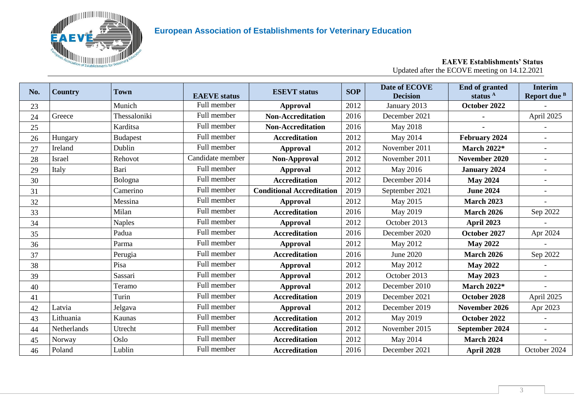

## **European Association of Establishments for Veterinary Education**

#### **No.**  $\begin{bmatrix} \text{Country} \\ \text{Rown} \end{bmatrix}$  **EXEVE** status **ESEVT** status **EXEVI SOP Date of ECOVE Decision End of granted status <sup>A</sup> Interim Report due <sup>B</sup>** Munich Full member **Approval** 2012 January 2013 **October 2022** - Greece Thessaloniki Full member **Non-Accreditation** 2016 December 2021 **-** April 2025 Karditsa Full member **Non-Accreditation** 2016 May 2018 **-** - 26 Hungary **Budapest Full member Accreditation** 2012 May 2014 **February 2024** - Ireland Dublin Full member **Approval** 2012 November 2011 **March 2022\*** - 28 Israel **Rehovot** | Candidate member | **Non-Approval** | 2012 | November 2011 | **November 2020** | - Italy Bari Full member **Approval** 2012 May 2016 **January 2024** - Bologna Full member **Accreditation** 2012 December 2014 **May 2024** - Camerino Full member **Conditional Accreditation** 2019 September 2021 **June 2024** - Messina Full member **Approval** 2012 May 2015 **March 2023** - Milan Full member **Accreditation** 2016 May 2019 **March 2026** Sep 2022 Naples Full member **Approval** 2012 October 2013 **April 2023** - Padua Full member **Accreditation** 2016 December 2020 **October 2027** Apr 2024 Parma Full member **Approval** 2012 May 2012 **May 2022** - Perugia Full member **Accreditation** 2016 June 2020 **March 2026** Sep 2022 Pisa Full member **Approval** 2012 May 2012 **May 2022** - Sassari Full member **Approval** 2012 October 2013 **May 2023** - Teramo Full member **Approval** 2012 December 2010 **March 2022\*** - Turin Full member **Accreditation** 2019 December 2021 **October 2028** April 2025 Latvia Jelgava Full member **Approval** 2012 December 2019 **November 2026** Apr 2023 Lithuania Kaunas Full member **Accreditation** 2012 May 2019 **October 2022** - Netherlands Utrecht Full member **Accreditation** 2012 November 2015 **September 2024** - Norway Oslo Full member **Accreditation** 2012 May 2014 **March 2024** - Poland Lublin Full member **Accreditation** 2016 December 2021 **April 2028** October 2024

#### **EAEVE Establishments' Status** Updated after the ECOVE meeting on 14.12.2021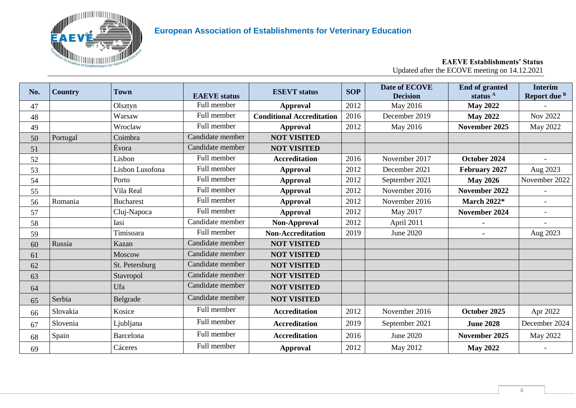

# **European Association of Establishments for Veterinary Education**

#### **EAEVE Establishments' Status** Updated after the ECOVE meeting on 14.12.2021

| No. | <b>Country</b> | <b>Town</b>      | <b>EAEVE</b> status | <b>ESEVT</b> status              | <b>SOP</b> | Date of ECOVE<br><b>Decision</b> | <b>End of granted</b><br>status <sup>A</sup> | <b>Interim</b><br>Report due <sup>B</sup> |
|-----|----------------|------------------|---------------------|----------------------------------|------------|----------------------------------|----------------------------------------------|-------------------------------------------|
| 47  |                | Olsztyn          | Full member         | <b>Approval</b>                  | 2012       | May 2016                         | <b>May 2022</b>                              |                                           |
| 48  |                | Warsaw           | Full member         | <b>Conditional Accreditation</b> | 2016       | December 2019                    | <b>May 2022</b>                              | Nov 2022                                  |
| 49  |                | Wroclaw          | Full member         | <b>Approval</b>                  | 2012       | May 2016                         | November 2025                                | May 2022                                  |
| 50  | Portugal       | Coimbra          | Candidate member    | <b>NOT VISITED</b>               |            |                                  |                                              |                                           |
| 51  |                | Évora            | Candidate member    | <b>NOT VISITED</b>               |            |                                  |                                              |                                           |
| 52  |                | Lisbon           | Full member         | <b>Accreditation</b>             | 2016       | November 2017                    | October 2024                                 |                                           |
| 53  |                | Lisbon Lusofona  | Full member         | <b>Approval</b>                  | 2012       | December 2021                    | February 2027                                | Aug 2023                                  |
| 54  |                | Porto            | Full member         | <b>Approval</b>                  | 2012       | September 2021                   | <b>May 2026</b>                              | November 2022                             |
| 55  |                | Vila Real        | Full member         | <b>Approval</b>                  | 2012       | November 2016                    | November 2022                                |                                           |
| 56  | Romania        | <b>Bucharest</b> | Full member         | <b>Approval</b>                  | 2012       | November 2016                    | <b>March 2022*</b>                           |                                           |
| 57  |                | Cluj-Napoca      | Full member         | <b>Approval</b>                  | 2012       | May 2017                         | November 2024                                |                                           |
| 58  |                | Iasi             | Candidate member    | Non-Approval                     | 2012       | April 2011                       |                                              |                                           |
| 59  |                | Timisoara        | Full member         | <b>Non-Accreditation</b>         | 2019       | June 2020                        |                                              | Aug 2023                                  |
| 60  | Russia         | Kazan            | Candidate member    | <b>NOT VISITED</b>               |            |                                  |                                              |                                           |
| 61  |                | Moscow           | Candidate member    | <b>NOT VISITED</b>               |            |                                  |                                              |                                           |
| 62  |                | St. Petersburg   | Candidate member    | <b>NOT VISITED</b>               |            |                                  |                                              |                                           |
| 63  |                | Stavropol        | Candidate member    | <b>NOT VISITED</b>               |            |                                  |                                              |                                           |
| 64  |                | Ufa              | Candidate member    | <b>NOT VISITED</b>               |            |                                  |                                              |                                           |
| 65  | Serbia         | Belgrade         | Candidate member    | <b>NOT VISITED</b>               |            |                                  |                                              |                                           |
| 66  | Slovakia       | Kosice           | Full member         | <b>Accreditation</b>             | 2012       | November 2016                    | October 2025                                 | Apr 2022                                  |
| 67  | Slovenia       | Ljubljana        | Full member         | <b>Accreditation</b>             | 2019       | September 2021                   | <b>June 2028</b>                             | December 2024                             |
| 68  | Spain          | Barcelona        | Full member         | <b>Accreditation</b>             | 2016       | June 2020                        | November 2025                                | <b>May 2022</b>                           |
| 69  |                | Cáceres          | Full member         | <b>Approval</b>                  | 2012       | May 2012                         | <b>May 2022</b>                              |                                           |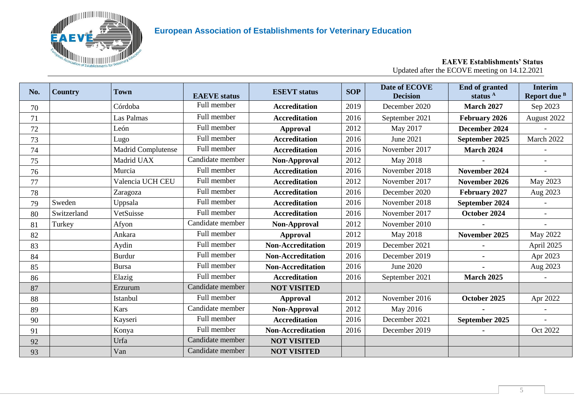

## **European Association of Establishments for Veterinary Education**

#### **No.**  $\begin{bmatrix} \text{Country} \\ \text{Rown} \end{bmatrix}$  **EXEVE** status **ESEVT** status **EXEVI SOP Date of ECOVE Decision End of granted status <sup>A</sup> Interim Report due <sup>B</sup>** 70 Córdoba Full member **Accreditation** 2019 December 2020 **March 2027** Sep 2023 71 Las Palmas Full member **Accreditation** 2016 September 2021 **February 2026** August 2022 72 León Full member **Approval** 2012 May 2017 **December 2024** - 73 Lugo Full member **Accreditation** 2016 June 2021 **September 2025** March 2022 74 Madrid Complutense Full member **Accreditation** 2016 November 2017 **March 2024** - 75 Madrid UAX Candidate member **Non-Approval** 2012 May 2018 **-** - 76 Murcia Full member **Accreditation** 2016 November 2018 **November 2024** - 77 Valencia UCH CEU Full member **Accreditation** 2012 November 2017 **November 2026** May 2023 78 Zaragoza Full member **Accreditation** 2016 December 2020 **February 2027** Aug 2023 79 Sweden Uppsala Full member **Accreditation** 2016 November 2018 **September 2024** - 80 Switzerland VetSuisse Full member **Accreditation** 2016 November 2017 **October 2024** - 81 Turkey Afyon (Candidate member **Non-Approval** 2012 November 2010 - 1 82 | Ankara | Full member | **Approval** 2012 | May 2018 | **November 2025** | May 2022 83 | Aydin Full member **Non-Accreditation** 2019 December 2021 | - | April 2025 84 Burdur Full member **Non-Accreditation** 2016 December 2019 **-** Apr 2023 85 Bursa Full member **Non-Accreditation** 2016 June 2020 **-** Aug 2023 86 | **Elazig | Full member | Accreditation** | 2016 | September 2021 | **March 2025** | -87 **Example 1** External Candidate member **NOT VISITED** 88 Istanbul Full member **Approval** 2012 November 2016 **October 2025** Apr 2022 89 | Kars | Candidate member | **Non-Approval** | 2012 | May 2016 | **-** | -90 Kayseri Full member **Accreditation** 2016 December 2021 **September 2025** - 91 Konya Full member **Non-Accreditation** 2016 December 2019 **-** Oct 2022 92 | Urfa | Candidate member | **NOT VISITED** 93 | Van **Van Candidate member NOT VISITED**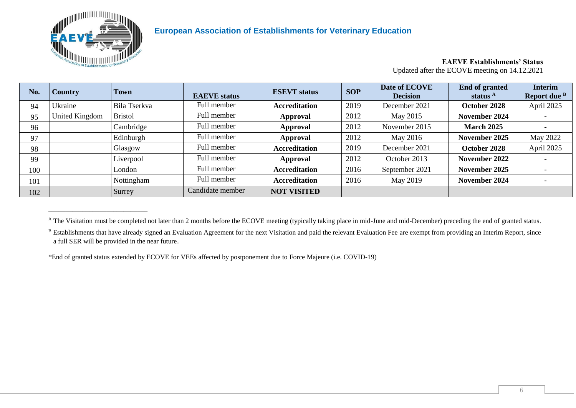

\_\_\_\_\_\_\_\_\_\_\_\_\_\_\_\_\_\_\_\_\_\_\_\_\_\_\_\_\_

#### **EAEVE Establishments' Status** Updated after the ECOVE meeting on 14.12.2021

| No. | <b>Country</b> | <b>Town</b>    | <b>EAEVE</b> status | <b>ESEVT</b> status  | <b>SOP</b> | Date of ECOVE<br><b>Decision</b> | <b>End of granted</b><br>status <sup>A</sup> | <b>Interim</b><br>Report due <sup>B</sup> |
|-----|----------------|----------------|---------------------|----------------------|------------|----------------------------------|----------------------------------------------|-------------------------------------------|
| 94  | Ukraine        | Bila Tserkva   | Full member         | <b>Accreditation</b> | 2019       | December 2021                    | October 2028                                 | April 2025                                |
| 95  | United Kingdom | <b>Bristol</b> | Full member         | Approval             | 2012       | May 2015                         | November 2024                                |                                           |
| 96  |                | Cambridge      | Full member         | Approval             | 2012       | November 2015                    | <b>March 2025</b>                            |                                           |
| 97  |                | Edinburgh      | Full member         | Approval             | 2012       | May 2016                         | November 2025                                | May 2022                                  |
| 98  |                | Glasgow        | Full member         | <b>Accreditation</b> | 2019       | December 2021                    | October 2028                                 | April 2025                                |
| 99  |                | Liverpool      | Full member         | Approval             | 2012       | October 2013                     | November 2022                                |                                           |
| 100 |                | London         | Full member         | <b>Accreditation</b> | 2016       | September 2021                   | November 2025                                |                                           |
| 101 |                | Nottingham     | Full member         | <b>Accreditation</b> | 2016       | May 2019                         | November 2024                                | $\overline{\phantom{0}}$                  |
| 102 |                | Surrey         | Candidate member    | <b>NOT VISITED</b>   |            |                                  |                                              |                                           |

<sup>&</sup>lt;sup>A</sup> The Visitation must be completed not later than 2 months before the ECOVE meeting (typically taking place in mid-June and mid-December) preceding the end of granted status.

\*End of granted status extended by ECOVE for VEEs affected by postponement due to Force Majeure (i.e. COVID-19)

<sup>&</sup>lt;sup>B</sup> Establishments that have already signed an Evaluation Agreement for the next Visitation and paid the relevant Evaluation Fee are exempt from providing an Interim Report, since a full SER will be provided in the near future.